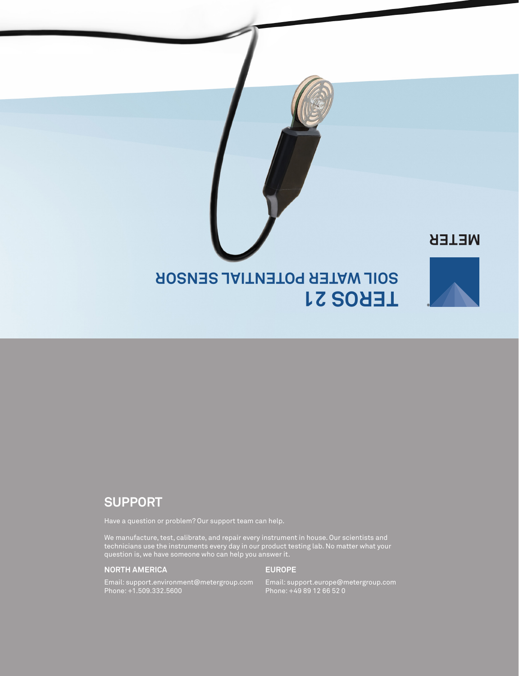

# **SUPPORT**

We manufacture, test, calibrate, and repair every instrument in house. Our scientists and technicians use the instruments every day in our product testing lab. No matter what your question is, we have someone who can help you answer it.

### **NORTH AMERICA**

### **EUROPE**

Email: support.environment@metergroup.com Phone: +1.509.332.5600

Email: support.europe@metergroup.com Phone: +49 89 12 66 52 0